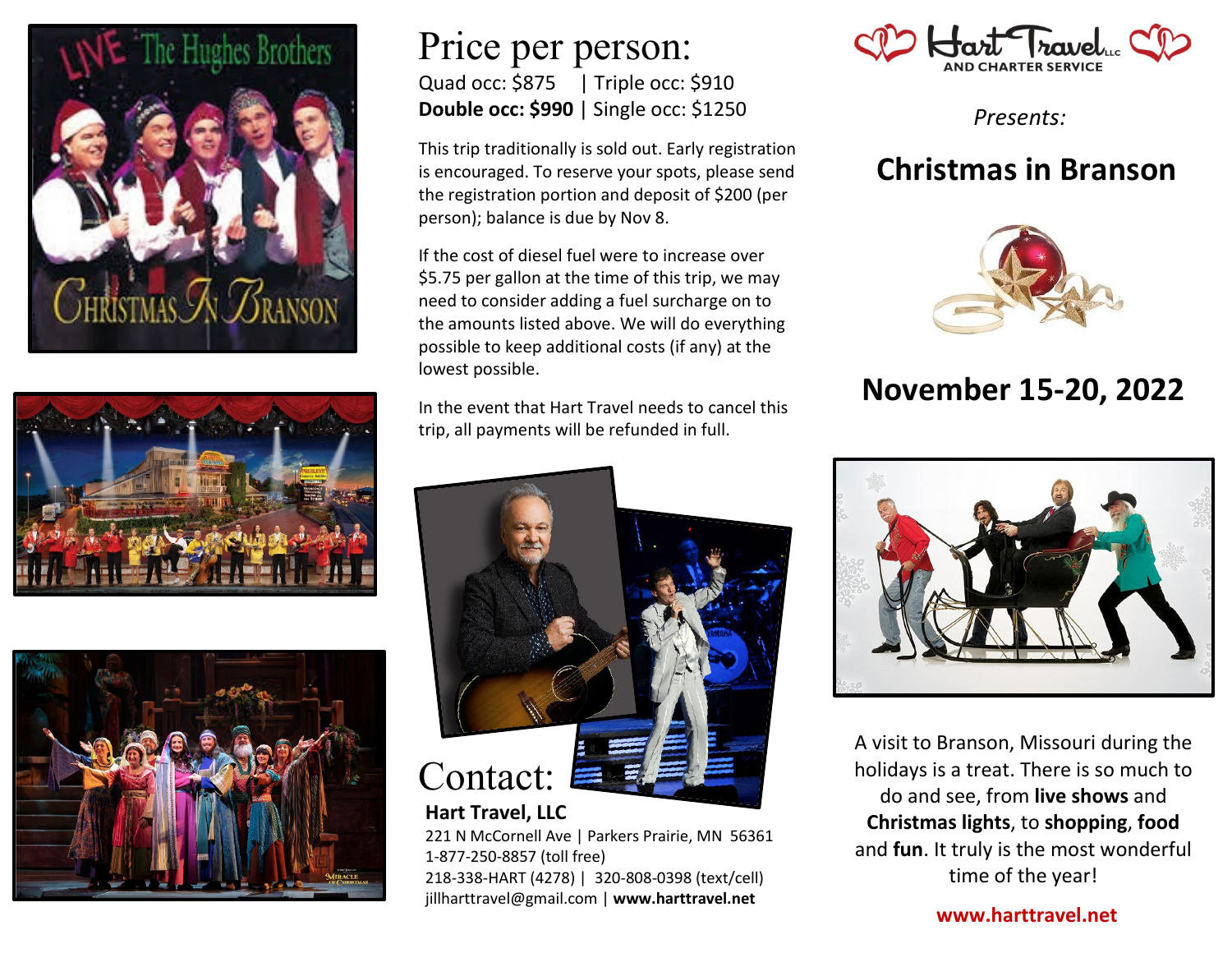





### Price per person: Quad occ: \$875| Triple occ: \$910 **Double occ: \$990** | Single occ: \$1250

This trip traditionally is sold out. Early registration is encouraged. To reserve your spots, please send the registration portion and deposit of \$200 (per person); balance is due by Nov 8.

If the cost of diesel fuel were to increase over \$5.75 per gallon at the time of this trip, we may need to consider adding a fuel surcharge on to the amounts listed above. We will do everything possible to keep additional costs (if any) at the lowest possible.

In the event that Hart Travel needs to cancel this trip, all payments will be refunded in full.



# **Hart Travel, LLC**

221 N McCornell Ave | Parkers Prairie, MN 56361 1-877-250-8857 (toll free) 218-338-HART (4278) | 320-808-0398 (text/cell) jillharttravel@gmail.com | **www.harttravel.net**



*Presents:*

## **Christmas in Branson**



## **November 15-20, 2022**



A visit to Branson, Missouri during the holidays is a treat. There is so much to do and see, from **live shows** and **Christmas lights**, to **shopping**, **food** and **fun**. It truly is the most wonderful time of the year!

**www.harttravel.net**